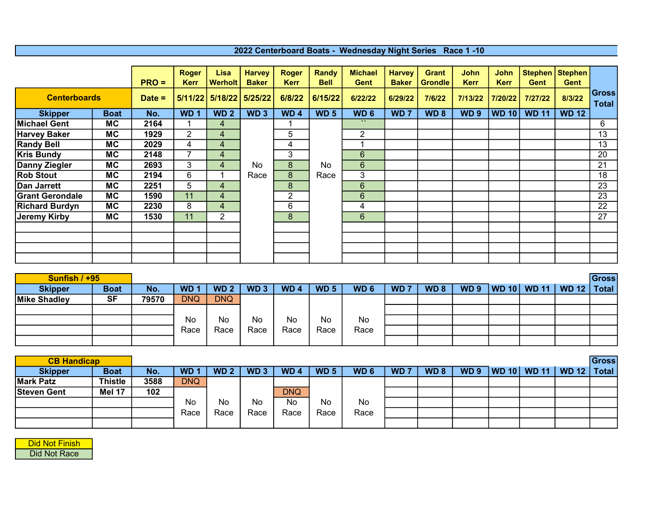## 2022 Centerboard Boats - Wednesday Night Series Race 1 -10

|                        |             | $PRO =$  | <b>Roger</b><br><b>Kerr</b> | Lisa<br><b>Werholt</b> | <b>Harvey</b><br><b>Baker</b> | <b>Roger</b><br><b>Kerr</b> | Randy<br><b>Bell</b> | <b>Michael</b><br>Gent | <b>Harvey</b><br><b>Baker</b> | <b>Grant</b><br><b>Grondle</b> | John<br><b>Kerr</b> | <b>John</b><br><b>Kerr</b> | <b>Gent</b>  | Stephen   Stephen<br>Gent |                       |
|------------------------|-------------|----------|-----------------------------|------------------------|-------------------------------|-----------------------------|----------------------|------------------------|-------------------------------|--------------------------------|---------------------|----------------------------|--------------|---------------------------|-----------------------|
| <b>Centerboards</b>    |             | $Date =$ |                             | $5/11/22$ 5/18/22      | 5/25/22                       | 6/8/22                      | 6/15/22              | 6/22/22                | 6/29/22                       | 7/6/22                         | 7/13/22             | 7/20/22                    | 7/27/22      | 8/3/22                    | Gross<br><b>Total</b> |
| <b>Skipper</b>         | <b>Boat</b> | No.      | WD <sub>1</sub>             | WD <sub>2</sub>        | WD <sub>3</sub>               | WD <sub>4</sub>             | WD <sub>5</sub>      | WD <sub>6</sub>        | WD <sub>7</sub>               | WD <sub>8</sub>                | WD <sub>9</sub>     | <b>WD 10</b>               | <b>WD 11</b> | <b>WD 12</b>              |                       |
| <b>Michael Gent</b>    | <b>MC</b>   | 2164     |                             | 4                      |                               |                             |                      | $\mathbf{v}$           |                               |                                |                     |                            |              |                           | 6                     |
| <b>Harvey Baker</b>    | <b>MC</b>   | 1929     | $\overline{2}$              | 4                      |                               | 5                           |                      | $\overline{2}$         |                               |                                |                     |                            |              |                           | 13                    |
| <b>Randy Bell</b>      | <b>MC</b>   | 2029     | 4                           | 4                      |                               | 4                           |                      |                        |                               |                                |                     |                            |              |                           | 13                    |
| <b>Kris Bundy</b>      | <b>MC</b>   | 2148     |                             | 4                      |                               | 3                           |                      | 6                      |                               |                                |                     |                            |              |                           | 20                    |
| Danny Ziegler          | <b>MC</b>   | 2693     | 3                           | 4                      | No                            | 8                           | No                   | $6\phantom{1}$         |                               |                                |                     |                            |              |                           | 21                    |
| <b>Rob Stout</b>       | <b>MC</b>   | 2194     | 6                           |                        | Race                          | 8                           | Race                 | 3                      |                               |                                |                     |                            |              |                           | 18                    |
| <b>Dan Jarrett</b>     | <b>MC</b>   | 2251     | 5                           | 4                      |                               | 8                           |                      | 6                      |                               |                                |                     |                            |              |                           | 23                    |
| <b>Grant Gerondale</b> | <b>MC</b>   | 1590     | 11                          | 4                      |                               | $\overline{2}$              |                      | $6\phantom{1}$         |                               |                                |                     |                            |              |                           | 23                    |
| <b>Richard Burdyn</b>  | <b>MC</b>   | 2230     | 8                           | 4                      |                               | 6                           |                      | 4                      |                               |                                |                     |                            |              |                           | 22                    |
| <b>Jeremy Kirby</b>    | <b>MC</b>   | 1530     | 11                          | $\overline{2}$         |                               | 8                           |                      | $6\phantom{1}$         |                               |                                |                     |                            |              |                           | 27                    |
|                        |             |          |                             |                        |                               |                             |                      |                        |                               |                                |                     |                            |              |                           |                       |
|                        |             |          |                             |                        |                               |                             |                      |                        |                               |                                |                     |                            |              |                           |                       |
|                        |             |          |                             |                        |                               |                             |                      |                        |                               |                                |                     |                            |              |                           |                       |
|                        |             |          |                             |                        |                               |                             |                      |                        |                               |                                |                     |                            |              |                           |                       |

| Sunfish / +95  |             |       |                 |                 |                 |                 |                 |                 |                 |                 |                 |                               | <b>Gross</b> |
|----------------|-------------|-------|-----------------|-----------------|-----------------|-----------------|-----------------|-----------------|-----------------|-----------------|-----------------|-------------------------------|--------------|
| <b>Skipper</b> | <b>Boat</b> | No.   | WD <sub>1</sub> | WD <sub>2</sub> | WD <sub>3</sub> | WD <sub>4</sub> | WD <sub>5</sub> | WD <sub>6</sub> | WD <sub>7</sub> | WD <sub>8</sub> | WD <sub>9</sub> | WD 10   WD 11   WD 12   Total |              |
| Mike Shadley   | <b>SF</b>   | 79570 | <b>DNQ</b>      | <b>DNQ</b>      |                 |                 |                 |                 |                 |                 |                 |                               |              |
|                |             |       |                 |                 |                 |                 |                 |                 |                 |                 |                 |                               |              |
|                |             |       | No              | No              | No              | No              | No              | No              |                 |                 |                 |                               |              |
|                |             |       | Race            | Race            | Race            | Race            | Race            | Race            |                 |                 |                 |                               |              |
|                |             |       |                 |                 |                 |                 |                 |                 |                 |                 |                 |                               |              |

| <b>CB Handicap</b> |               |      |            |                 |                 |                 |                 |                 |           |                 |             |             |               | <b>Gross</b> |
|--------------------|---------------|------|------------|-----------------|-----------------|-----------------|-----------------|-----------------|-----------|-----------------|-------------|-------------|---------------|--------------|
| <b>Skipper</b>     | <b>Boat</b>   | No.  | <b>WD</b>  | WD <sub>2</sub> | WD <sub>3</sub> | WD <sub>4</sub> | WD <sub>5</sub> | WD <sub>6</sub> | <b>WD</b> | WD <sub>8</sub> | <b>WD 9</b> | WD 10 WD 11 | WD 12   Total |              |
| <b>Mark Patz</b>   | Thistle       | 3588 | <b>DNQ</b> |                 |                 |                 |                 |                 |           |                 |             |             |               |              |
| <b>Steven Gent</b> | <b>Mel 17</b> | 102  |            |                 |                 | <b>DNQ</b>      |                 |                 |           |                 |             |             |               |              |
|                    |               |      | No         | No              | No              | No              | No              | No              |           |                 |             |             |               |              |
|                    |               |      | Race       | Race            | Race            | Race            | Race            | Race            |           |                 |             |             |               |              |
|                    |               |      |            |                 |                 |                 |                 |                 |           |                 |             |             |               |              |

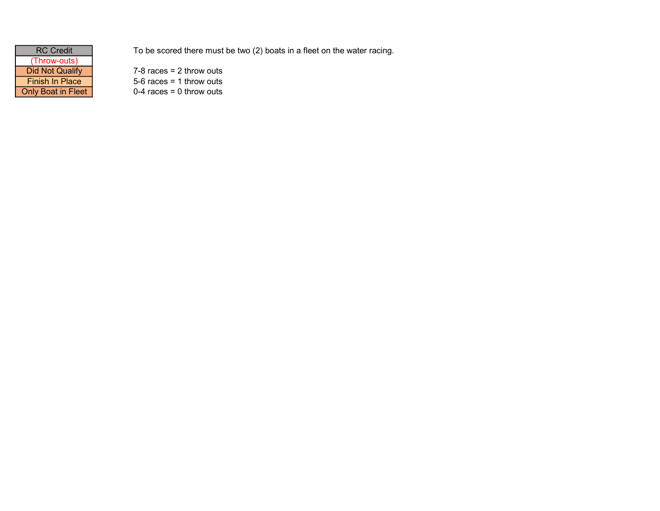| <b>RC Credit</b>          |
|---------------------------|
| (Throw-outs)              |
| <b>Did Not Qualify</b>    |
| <b>Finish In Place</b>    |
| <b>Only Boat in Fleet</b> |

To be scored there must be two (2) boats in a fleet on the water racing.

 $7-8$  races = 2 throw outs  $5-6$  races = 1 throw outs  $0-4$  races = 0 throw outs